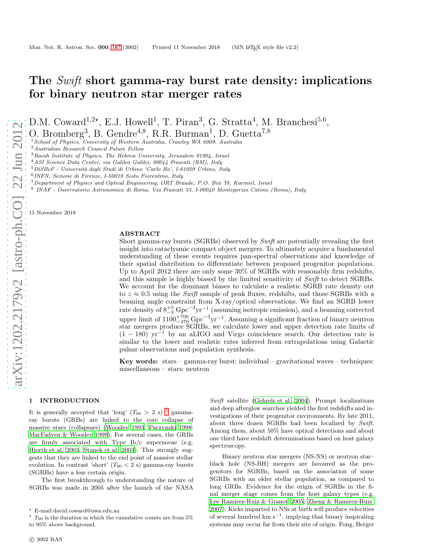# The *Swift* short gamma-ray burst rate density: implications for binary neutron star merger rates

D.M. Coward<sup>1,2\*</sup>, E.J. Howell<sup>1</sup>, T. Piran<sup>3</sup>, G. Stratta<sup>4</sup>, M. Branchesi<sup>5,6</sup>,

O. Bromberg<sup>3</sup>, B. Gendre<sup>4,8</sup>, R.R. Burman<sup>1</sup>, D. Guetta<sup>7,8</sup>

<sup>1</sup> School of Physics, University of Western Australia, Crawley WA 6009, Australia

<sup>2</sup>Australian Research Council Future Fellow

<sup>3</sup>Racah Institute of Physics, The Hebrew University, Jerusalem 91904, Israel

<sup>4</sup>ASI Science Data Center, via Galileo Galilei, 00044 Frascati (RM), Italy

 $5$ DiSBeF - Università degli Studi di Urbino 'Carlo Bo', I-61029 Urbino, Italy

6 INFN, Sezione di Firenze, I-50019 Sesto Fiorentino, Italy

<sup>7</sup>Department of Physics and Optical Engineering, ORT Braude, P.O. Box 78, Karmiel, Israel

8 INAF - Osservatorio Astronomico di Roma, Via Frascati 33, I-00040 Monteporzio Catone (Roma), Italy

11 November 2018

## ABSTRACT

Short gamma-ray bursts (SGRBs) observed by Swift are potentially revealing the first insight into cataclysmic compact object mergers. To ultimately acquire a fundamental understanding of these events requires pan-spectral observations and knowledge of their spatial distribution to differentiate between proposed progenitor populations. Up to April 2012 there are only some 30% of SGRBs with reasonably firm redshifts, and this sample is highly biased by the limited sensitivity of Swift to detect SGRBs. We account for the dominant biases to calculate a realistic SGRB rate density out to  $z \approx 0.5$  using the Swift sample of peak fluxes, redshifts, and those SGRBs with a beaming angle constraint from X-ray/optical observations. We find an SGRB lower rate density of  $8^{+5}_{-3}$  Gpc<sup>-3</sup>yr<sup>-1</sup> (assuming isotropic emission), and a beaming corrected upper limit of  $1100^{+700}_{-470}$  Gpc<sup>-3</sup>yr<sup>-1</sup>. Assuming a significant fraction of binary neutron star mergers produce SGRBs, we calculate lower and upper detection rate limits of  $(1 - 180)$  yr<sup>-1</sup> by an aLIGO and Virgo coincidence search. Our detection rate is similar to the lower and realistic rates inferred from extrapolations using Galactic pulsar observations and population synthesis.

Key words:  $stars - gamma-ray$  burst: individual – gravitational waves – techniques: miscellaneous – stars: neutron

## <span id="page-0-0"></span>1 INTRODUCTION

It is generally accepted that 'long'  $(T_{90} > 2 \text{ s})^{-1}$  $(T_{90} > 2 \text{ s})^{-1}$  $(T_{90} > 2 \text{ s})^{-1}$  gammaray bursts (GRBs) are linked to the core collapse of massive stars (collapsars) [\(Woosley 1993;](#page-6-0) [Paczynski 1998;](#page-6-1) [MacFadyen & Woosley 1999\)](#page-6-2). For several cases, the GRBs are firmly associated with Type Ib/c supernovae (e.g. [Hjorth et al. 2003;](#page-6-3) [Stanek et al. 2003](#page-6-4)). This strongly suggests that they are linked to the end point of massive stellar evolution. In contrast 'short'  $(T_{90} < 2 \text{ s})$  gamma-ray bursts (SGRBs) have a less certain origin.

The first breakthrough to understanding the nature of SGRBs was made in 2005 after the launch of the NASA

Swift satellite [\(Gehrels et al. 2004](#page-6-5)). Prompt localizations and deep afterglow searches yielded the first redshifts and investigations of their progenitor environments. By late 2011, about three dozen SGRBs had been localized by Swift. Among them, about 50% have optical detections and about one third have redshift determinations based on host galaxy spectroscopy.

Binary neutron star mergers (NS-NS) or neutron star– black hole (NS-BH) mergers are favoured as the progenitors for SGRBs, based on the association of some SGRBs with an older stellar population, as compared to long GRBs. Evidence for the origin of SGRBs in the final merger stage comes from the host galaxy types (e.g. [Lee Ramirez-Ruiz & Granot 2005](#page-6-6); [Zheng & Ramirez-Ruiz](#page-6-7) [2007](#page-6-7)). Kicks imparted to NSs at birth will produce velocities of several hundred  $km s^{-1}$ , implying that binary inspiraling systems may occur far from their site of origin. Fong, Berger

<sup>⋆</sup> E-mail:david.coward@uwa.edu.au

<span id="page-0-1"></span><sup>&</sup>lt;sup>1</sup>  $T_{90}$  is the duration in which the cumulative counts are from 5% to 95% above background.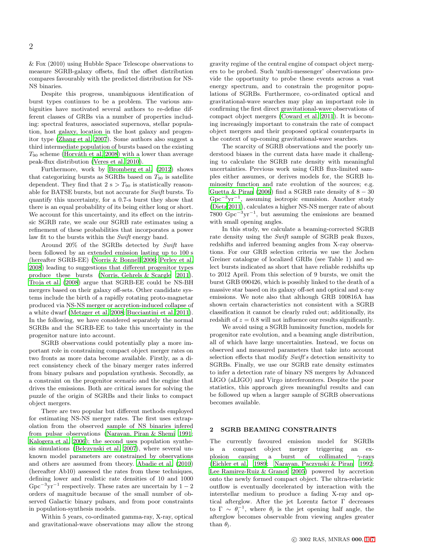& Fox (2010) using Hubble Space Telescope observations to measure SGRB-galaxy offsets, find the offset distribution compares favourably with the predicted distribution for NS-NS binaries.

Despite this progress, unambiguous identification of burst types continues to be a problem. The various ambiguities have motivated several authors to re-define different classes of GRBs via a number of properties including: spectral features, associated supernova, stellar population, host galaxy, location in the host galaxy and progenitor type [\(Zhang et al. 2007\)](#page-6-8). Some authors also suggest a third intermediate population of bursts based on the existing  $T_{90}$  scheme (Horváth et al. 2008) with a lower than average peak-flux distribution [\(Veres et al. 2010\)](#page-6-10).

Furthermore, work by [Bromberg et al. \(2012\)](#page-6-11) shows that categorizing bursts as SGRBs based on  $T_{90}$  is satellite dependent. They find that  $2 s > T_{90}$  is statistically reasonable for BATSE bursts, but not accurate for Swift bursts. To quantify this uncertainty, for a 0.7-s burst they show that there is an equal probability of its being either long or short. We account for this uncertainty, and its effect on the intrinsic SGRB rate, we scale our SGRB rate estimates using a refinement of these probabilities that incorporates a power law fit to the bursts within the Swift energy band.

Around 20% of the SGRBs detected by Swift have been followed by an extended emission lasting up to 100 s (hereafter SGRB-EE) [\(Norris & Bonnell 2006](#page-6-12); [Perley et al.](#page-6-13) [2008](#page-6-13)) leading to suggestions that different progenitor types produce these bursts [\(Norris, Gehrels & Scargle 2011](#page-6-14)). [Troja et al. \(2008\)](#page-6-15) argue that SGRB-EE could be NS-BH mergers based on their galaxy off-sets. Other candidate systems include the birth of a rapidly rotating proto-magnetar produced via NS-NS merger or accretion-induced collapse of a white dwarf [\(Metzger et al. 2008;](#page-6-16) [Bucciantini et al. 2011](#page-6-17)). In the following, we have considered separately the normal SGRBs and the SGRB-EE to take this uncertainty in the progenitor nature into account.

SGRB observations could potentially play a more important role in constraining compact object merger rates on two fronts as more data become available. Firstly, as a direct consistency check of the binary merger rates inferred from binary pulsars and population synthesis. Secondly, as a constraint on the progenitor scenario and the engine that drives the emissions. Both are critical issues for solving the puzzle of the origin of SGRBs and their links to compact object mergers.

There are two popular but different methods employed for estimating NS-NS merger rates. The first uses extrapolation from the observed sample of NS binaries infered from pulsar observations [\(Narayan, Piran & Shemi 1991;](#page-6-18) [Kalogera et al. 2006](#page-6-19)); the second uses population synthesis simulations [\(Belczynski et al. 2007](#page-6-20)), where several unknown model parameters are constrained by observations and others are assumed from theory. [Abadie et al. \(2010](#page-5-0)) (hereafter Ab10) assessed the rates from these techniques, defining lower and realistic rate densities of 10 and 1000 Gpc<sup>-3</sup>yr<sup>-1</sup> respectively. These rates are uncertain by  $1-2$ orders of magnitude because of the small number of observed Galactic binary pulsars, and from poor constraints in population-synthesis models.

Within 5 years, co-ordinated gamma-ray, X-ray, optical and gravitational-wave observations may allow the strong gravity regime of the central engine of compact object mergers to be probed. Such 'multi-messenger' observations provide the opportunity to probe these events across a vast energy spectrum, and to constrain the progenitor populations of SGRBs. Furthermore, co-ordinated optical and gravitational-wave searches may play an important role in confirming the first direct gravitational-wave observations of compact object mergers [\(Coward et al. 2011](#page-6-21)). It is becoming increasingly important to constrain the rate of compact object mergers and their proposed optical counterparts in the context of up-coming gravitational-wave searches.

The scarcity of SGRB observations and the poorly understood biases in the current data have made it challenging to calculate the SGRB rate density with meaningful uncertainties. Previous work using GRB flux-limited samples either assumes, or derives models for, the SGRB luminosity function and rate evolution of the sources; e.g. [Guetta & Piran \(2006](#page-6-22)) find a SGRB rate density of  $8 - 30$ Gpc<sup>−</sup><sup>3</sup> yr<sup>−</sup><sup>1</sup> , assuming isotropic emmision. Another study [\(Dietz 2011\)](#page-6-23), calculates a higher NS-NS merger rate of about 7800  $Gpc^{-3}yr^{-1}$ , but assuming the emissions are beamed with small opening angles.

In this study, we calculate a beaming-corrected SGRB rate density using the Swift sample of SGRB peak fluxes, redshifts and inferred beaming angles from X-ray observations. For our GRB selection criteria we use the Jochen Greiner catalogue of localized GRBs (see Table 1) and select bursts indicated as short that have reliable redshifts up to 2012 April. From this selection of 9 bursts, we omit the burst GRB 090426, which is possibly linked to the death of a massive star based on its galaxy off-set and optical and x-ray emissions. We note also that although GRB 100816A has shown certain characteristics not consistent with a SGRB classification it cannot be clearly ruled out; additionally, its redshift of  $z = 0.8$  will not influence our results significantly.

We avoid using a SGRB luminosity function, models for progenitor rate evolution, and a beaming angle distribution, all of which have large uncertainties. Instead, we focus on observed and measured parameters that take into account selection effects that modify Swift's detection sensitivity to SGRBs. Finally, we use our SGRB rate density estimates to infer a detection rate of binary NS mergers by Advanced LIGO (aLIGO) and Virgo interferomters. Despite the poor statistics, this approach gives meaningful results and can be followed up when a larger sample of SGRB observations becomes available.

## <span id="page-1-0"></span>2 SGRB BEAMING CONSTRAINTS

The currently favoured emission model for SGRBs is a compact object merger triggering an explosion causing a burst of collimated  $\gamma$ -rays [\(Eichler et al. 1989;](#page-6-24) [Narayan, Paczynski & Piran 1992](#page-6-25); [Lee Ramirez-Ruiz & Granot 2005\)](#page-6-6) powered by accretion onto the newly formed compact object. The ultra-relavistic outflow is eventually decelerated by interaction with the interstellar medium to produce a fading X-ray and optical afterglow. After the jet Lorentz factor Γ decreases to  $\Gamma \sim \theta_j^{-1}$ , where  $\theta_j$  is the jet opening half angle, the afterglow becomes observable from viewing angles greater than  $\theta_i$ .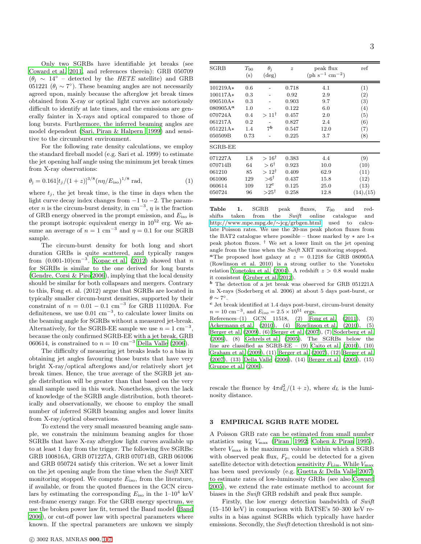Only two SGRBs have identifiable jet breaks (see [Coward et al. 2011](#page-6-21), and references therein): GRB 050709  $(\theta_{\rm j} \sim 14^{\circ}$  – detected by the HETE satellite) and GRB 051221 ( $\theta_j \sim 7^{\circ}$ ). These beaming angles are not necessarily agreed upon, mainly because the afterglow jet break times obtained from X-ray or optical light curves are notoriously difficult to identify at late times, and the emissions are generally fainter in X-rays and optical compared to those of long bursts. Furthermore, the inferred beaming angles are model dependent [\(Sari, Piran & Halpern 1999](#page-6-26)) and sensitive to the circumburst environment.

For the following rate density calculations, we employ the standard fireball model (e.g. Sari et al. 1999) to estimate the jet opening half angle using the minimum jet break times from X-ray observations:

$$
\theta_{\rm j} = 0.161 \left[ t_j / (1+z) \right]^{3/8} \left( n \eta / E_{\rm iso} \right)^{1/8} \text{ rad},\tag{1}
$$

where  $t_j$ , the jet break time, is the time in days when the light curve decay index changes from −1 to −2. The parameter *n* is the circum-burst density, in cm<sup>-3</sup>,  $\eta$  is the fraction of GRB energy observed in the prompt emission, and  $E_{\text{iso}}$  is the prompt isotropic equivalent energy in  $10^{52}$  erg. We assume an average of  $n = 1$  cm<sup>-3</sup> and  $\eta = 0.1$  for our SGRB sample.

The circum-burst density for both long and short duration GRBs is quite scattered, and typically ranges from  $(0.001-10)$ cm<sup>-3</sup>. Kopac et al.  $(2012)$  showed that n for SGRBs is similar to the one derived for long bursts [\(Gendre, Corsi & Piro 2006](#page-6-28)), implying that the local density should be similar for both collapsars and mergers. Contrary to this, Fong et. al. (2012) argue that SGRBs are located in typically smaller circum-burst densities, supported by their constraint of  $n = 0.01 - 0.1$  cm<sup>-3</sup> for GRB 111020A. For definiteness, we use  $0.01 \text{ cm}^{-3}$ , to calculate lower limits on the beaming angle for SGRBs without a measured jet-break. Alternatively, for the SGRB-EE sample we use  $n = 1$  cm<sup>-3</sup>, because the only confirmed SGRB-EE with a jet break, GRB 060614, is constrained to  $n = 10$  cm<sup>-3</sup> [Della Valle \(2006](#page-6-29)).

The difficulty of measuring jet breaks leads to a bias in obtaining jet angles favouring those bursts that have very bright X-ray/optical afterglows and/or relatively short jet break times. Hence, the true average of the SGRB jet angle distribution will be greater than that based on the very small sample used in this work. Nonetheless, given the lack of knowledge of the SGRB angle distribution, both theoretically and observationally, we choose to employ the small number of inferred SGRB beaming angles and lower limits from X-ray/optical observations.

To extend the very small measured beaming angle sample, we constrain the minimum beaming angles for those SGRBs that have X-ray afterglow light curves available up to at least 1 day from the trigger. The following five SGRBs: GRB 100816A, GRB 071227A, GRB 070714B, GRB 061006 and GRB 050724 satisfy this criterion. We set a lower limit on the jet opening angle from the time when the Swift XRT monitoring stopped. We compute  $E_{\text{iso}}$ , from the literature, if available, or from the quoted fluences in the GCN circulars by estimating the corresponding  $E_{\text{iso}}$  in the  $1-10^4$  keV rest-frame energy range. For the GRB energy spectrum, we use the broken power law fit, termed the Band model [\(Band](#page-5-1) [2006](#page-5-1)), or cut-off power law with spectral parameters where known. If the spectral parameters are unkown we simply

| <b>SGRB</b>          | $T_{90}$<br>(s) | $\theta_i$<br>$(\deg)$ | $\boldsymbol{z}$ | peak flux<br>$(\text{ph } s^{-1} \text{ cm}^{-2})$ | ref        |
|----------------------|-----------------|------------------------|------------------|----------------------------------------------------|------------|
| 101219A*             | 0.6             |                        | 0.718            | 4.1                                                | (1)        |
| 100117A*             | 0.3             |                        | 0.92             | 2.9                                                | (2)        |
| 090510A*             | 0.3             |                        | 0.903            | 9.7                                                | (3)        |
| 080905A <sup>a</sup> | 1.0             |                        | 0.122            | 6.0                                                | (4)        |
| 070724A              | 0.4             | $>11^{\dagger}$        | 0.457            | 2.0                                                | (5)        |
| 061217A              | 0.2             |                        | 0.827            | 2.4                                                | (6)        |
| $051221A*$           | 1.4             | 7b                     | 0.547            | 12.0                                               | (7)        |
| 050509B              | 0.73            |                        | 0.225            | 3.7                                                | (8)        |
| <b>SGRB-EE</b>       |                 |                        |                  |                                                    |            |
| 071227A              | 1.8             | $>16^{\dagger}$        | 0.383            | 4.4                                                | (9)        |
| 070714B              | 64              | $> 6^{\dagger}$        | 0.923            | 10.0                                               | (10)       |
| 061210               | 85              | $>12^{\dagger}$        | 0.409            | 62.9                                               | (11)       |
| 061006               | 129             | $> 6^{\dagger}$        | 0.437            | 15.8                                               | (12)       |
| 060614               | 109             | $12^{\rm c}$           | 0.125            | 25.0                                               | (13)       |
| 050724               | 96              | $>25^{\dagger}$        | 0.258            | 12.8                                               | (14), (15) |

<span id="page-2-0"></span>Table 1. SGRB peak fluxes,  $T_{90}$  and redshifts taken from the Swift online catalogue and [http://www.mpe.mpg.de/](http://www.mpe.mpg.de/~jcg/grbgen.html)∼jcg/grbgen.html used to calculate Poisson rates. We use the 20-ms peak photon fluxes from the BAT2 catalogue where possible – those marked by ∗ are 1-s peak photon fluxes. † We set a lower limit on the jet opening angle from the time when the Swift XRT monitoring stopped.

<sup>a</sup>The proposed host galaxy at  $z = 0.1218$  for GRB 080905A (Rowlinson et al. 2010) is a strong outlier to the Yonetoku relation [Yonetoku et al. \(2004](#page-6-30)). A redshift  $z > 0.8$  would make it consistent [\(Gruber et al. 2012](#page-6-31)).

<sup>b</sup> The detection of a jet break was observed for GRB 051221A in X-rays (Soderberg et al. 2006) at about 5 days post-burst, or  $\theta \sim 7^{\circ}$ .

 $c$  Jet break identified at 1.4 days post-burst, circum-burst density  $n = 10 \text{ cm}^{-3}$ , and  $E_{\text iso} = 2.5 \times 10^{51} \text{ ergs}$ .

References–(1) GCN 11518, (2) [Fong et al. \(2011](#page-6-32)), (3) [Ackermann et al. \(2010](#page-5-2)), (4) [Rowlinson et al. \(2010](#page-6-33)), (5) [Berger et al. \(2009\)](#page-6-34), (6) [Berger et al. \(2007\)](#page-6-35), (7) [Soderberg](#page-6-36) et al. [\(2006](#page-6-36)), (8) [Gehrels et al. \(2005](#page-6-37)). The SGRBs below the line are classified as  $SGRB-EE = (9)$  Caito et al.  $(2010)$ ,  $(10)$ [Graham et al. \(2009](#page-6-39)), (11) [Berger et al. \(2007](#page-6-35)), (12) [Berger et al.](#page-6-35) [\(2007](#page-6-35)), (13) [Della Valle \(2006](#page-6-29)), (14) [Berger et al. \(2005](#page-6-40)), (15) [Gruppe et al. \(2006\)](#page-6-41).

rescale the fluence by  $4\pi d_L^2/(1+z)$ , where  $d_L$  is the luminosity distance.

# 3 EMPIRICAL SGRB RATE MODEL

A Poisson GRB rate can be estimated from small number statistics using Vmax [\(Piran 1992;](#page-6-42) [Cohen & Piran 1995](#page-6-43)), where  $V_{\text{max}}$  is the maximum volume within which a SGRB with observed peak flux,  $F_p$ , could be detected for a given satellite detector with detection sensitivity  $F_{\text{Lim}}$ . While  $V_{\text{max}}$ has been used previously (e.g. [Guetta & Della Valle 2007](#page-6-44)) to estimate rates of low-luminosity GRBs (see also [Coward](#page-6-45) [2005](#page-6-45)), we extend the rate estimate method to account for biases in the Swift GRB redshift and peak flux sample.

Firstly, the low energy detection bandwidth of Swift (15–150 keV) in comparison with BATSE's 50–300 keV results in a bias against SGRBs which typically have harder emissions. Secondly, the Swift detection threshold is not sim-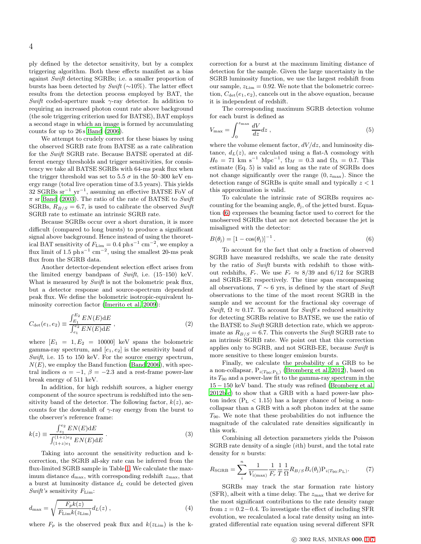ply defined by the detector sensitivity, but by a complex triggering algorithm. Both these effects manifest as a bias against Swift detecting SGRBs; i.e. a smaller proportion of bursts has been detected by Swift (∼10%). The latter effect results from the detection process employed by BAT, the Swift coded-aperture mask  $\gamma$ -ray detector. In addition to requiring an increased photon count rate above background (the sole triggering criterion used for BATSE), BAT employs a second stage in which an image is formed by accumulating counts for up to 26s [Band \(2006\)](#page-5-1).

We attempt to crudely correct for these biases by using the observed SGRB rate from BATSE as a rate calibration for the Swift SGRB rate. Because BATSE operated at different energy thresholds and trigger sensitivities, for consistency we take all BATSE SGRBs with 64-ms peak flux when the trigger threshold was set to 5.5  $\sigma$  in the 50–300 keV energy range (total live operation time of 3.5 years). This yields 32 SGRBs sr<sup>−</sup><sup>1</sup> yr<sup>−</sup><sup>1</sup> , assuming an effective BATSE FoV of  $\pi$  sr [Band \(2003](#page-5-3)). The ratio of the rate of BATSE to Swift SGRBs,  $R_{B/S} = 6.7$ , is used to calibrate the observed Swift SGRB rate to estimate an intrinsic SGRB rate.

Because SGRBs occur over a short duration, it is more difficult (compared to long bursts) to produce a significant signal above background. Hence instead of using the theoretical BAT sensitivity of  $F_{\text{Lim}} = 0.4 \text{ ph s}^{-1} \text{ cm}^{-2}$ , we employ a flux limit of 1.5  $ph s^{-1}$  cm<sup>-2</sup>, using the smallest 20-ms peak flux from the SGRB data.

Another detector-dependent selection effect arises from the limited energy bandpass of  $Swift$ , i.e.  $(15-150)$  keV. What is measured by Swift is not the bolometric peak flux, but a detector response and source-spectrum dependent peak flux. We define the bolometric isotropic-equivalent luminosity correction factor [\(Imerito et al. 2009](#page-6-46)):

$$
C_{\det}(e_1, e_2) \equiv \frac{\int_{E_1}^{E_2} EN(E) \mathrm{d}E}{\int_{e_1}^{e_2} EN(E) \mathrm{d}E}, \qquad (2)
$$

where  $[E_1 = 1, E_2 = 10000]$  keV spans the bolometric gamma-ray spectrum, and  $[e_1, e_2]$  is the sensitivity band of Swift, i.e. 15 to 150 keV. For the source energy spectrum,  $N(E)$ , we employ the Band function [\(Band 2006](#page-5-1)), with spectral indices  $\alpha = -1$ ,  $\beta = -2.3$  and a rest-frame power-law break energy of 511 keV.

In addition, for high redshift sources, a higher energy component of the source spectrum is redshifted into the sensitivity band of the detector. The following factor,  $k(z)$ , accounts for the downshift of  $\gamma$ -ray energy from the burst to the observer's reference frame:

$$
k(z) \equiv \frac{\int_{e_1}^{e_2} EN(E) \, \mathrm{d}E}{\int_{(1+z)e_1}^{(1+z)e_2} EN(E) \, \mathrm{d}E} \,. \tag{3}
$$

Taking into account the sensitivity reduction and kcorrection, the SGRB all-sky rate can be inferred from the flux-limited SGRB sample in Table [1.](#page-2-0) We calculate the maximum distance  $d_{\text{max}}$ , with corresponding redshift  $z_{\text{max}}$ , that a burst at luminosity distance  $d<sub>L</sub>$  could be detected given Swift's sensitivity  $F_{\text{Lim}}$ :

$$
d_{\max} = \sqrt{\frac{F_p k(z)}{F_{\text{Lim}} k(z_{\text{Lim}})}} d_L(z) , \qquad (4)
$$

where  $F_p$  is the observed peak flux and  $k(z_{\text{Lim}})$  is the k-

correction for a burst at the maximum limiting distance of detection for the sample. Given the large uncertainty in the SGRB luminosity function, we use the largest redshift from our sample,  $z_{\text{Lim}} = 0.92$ . We note that the bolometric correction,  $C_{\det}(e_1, e_2)$ , cancels out in the above equation, because it is independent of redshift.

The corresponding maximum SGRB detection volume for each burst is defined as

$$
V_{\text{max}} = \int_0^{z_{\text{max}}} \frac{dV}{dz} dz \,, \tag{5}
$$

where the volume element factor,  $dV/dz$ , and luminosity distance,  $d_L(z)$ , are calculated using a flat- $\Lambda$  cosmology with  $H_0 = 71$  km s<sup>-1</sup> Mpc<sup>-1</sup>,  $\Omega_M = 0.3$  and  $\Omega_{\Lambda} = 0.7$ . This estimate (Eq. 5) is valid as long as the rate of SGRBs does not change significantly over the range  $(0, z_{\text{max}})$ . Since the detection range of SGRBs is quite small and typically  $z < 1$ this approximation is valid.

To calculate the intrinsic rate of SGRBs requires accounting for the beaming angle,  $\theta_j$ , of the jetted burst. Equation [\(6\)](#page-3-0) expresses the beaming factor used to correct for the unobserved SGRBs that are not detected because the jet is misaligned with the detector:

<span id="page-3-0"></span>
$$
B(\theta_{\mathbf{j}}) = \left[1 - \cos(\theta_{\mathbf{j}})\right]^{-1}.\tag{6}
$$

To account for the fact that only a fraction of observed SGRB have measured redshifts, we scale the rate density by the ratio of Swift bursts with redshift to those without redshifts,  $F_r$ . We use  $F_r \approx 8/39$  and 6/12 for SGRB and SGRB-EE respectively. The time span encompassing all observations,  $T \sim 6$  yrs, is defined by the start of Swift observations to the time of the most recent SGRB in the sample and we account for the fractional sky coverage of Swift,  $\Omega \approx 0.17$ . To account for Swift's reduced sensitivity for detecting SGRBs relative to BATSE, we use the ratio of the BATSE to Swift SGRB detection rate, which we approximate as  $R_{B/S} = 6.7$ . This converts the Swift SGRB rate to an intrinsic SGRB rate. We point out that this correction applies only to SGRB, and not SGRB-EE, because Swift is more sensitive to these longer emission bursts.

Finally, we calculate the probability of a GRB to be a non-collapsar,  $P_{i(T_{90};P_L)}$  [\(Bromberg et al. 2012](#page-6-11)), based on its  $T_{90}$  and a power-law fit to the gamma-ray spectrum in the 15 − 150 keV band. The study was refined [\(Bromberg et al.](#page-6-47) [2012b](#page-6-47)[,c](#page-6-48)) to show that a GRB with a hard power-law photon index  $(P<sub>L</sub> < 1.15)$  has a larger chance of being a noncollapsar than a GRB with a soft photon index at the same  $T_{90}$ . We note that these probabilities do not influence the magnitude of the calculated rate densities significantly in this work.

Combining all detection parameters yields the Poisson SGRB rate density of a single (ith) burst, and the total rate density for *n* bursts:

<span id="page-3-1"></span>
$$
R_{\text{SGRB}} = \sum_{i}^{n} \frac{1}{V_{i(\text{max})}} \frac{1}{F_r} \frac{1}{T} \frac{1}{\Omega} R_{B/S} B_i(\theta_j) P_{i(T_{90};P_{\text{L}})}.
$$
(7)

SGRBs may track the star formation rate history  $(SFR)$ , albeit with a time delay. The  $z_{\text{max}}$  that we derive for the most significant contributions to the rate density range from  $z = 0.2 - 0.4$ . To investigate the effect of including SFR evolution, we recalculated a local rate density using an integrated differential rate equation using several different SFR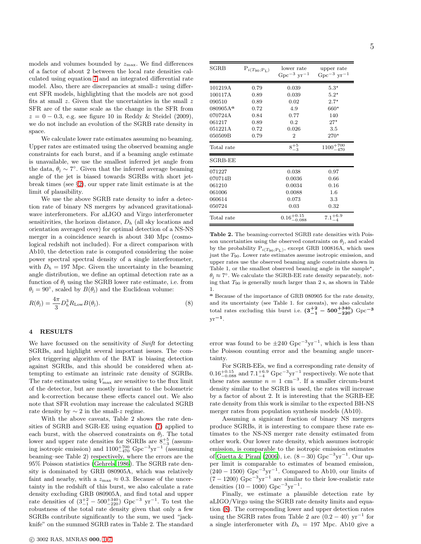models and volumes bounded by  $z_{\text{max}}$ . We find differences of a factor of about 2 between the local rate densities calculated using equation [7](#page-3-1) and an integrated differential rate model. Also, there are discrepancies at small-z using different SFR models, highlighting that the models are not good fits at small  $z$ . Given that the uncertainties in the small  $z$ SFR are of the same scale as the change in the SFR from  $z = 0 - 0.3$ , e.g. see figure 10 in Reddy & Steidel (2009), we do not include an evolution of the SGRB rate density in space.

We calculate lower rate estimates assuming no beaming. Upper rates are estimated using the observed beaming angle constraints for each burst, and if a beaming angle estimate is unavailable, we use the smallest inferred jet angle from the data,  $\theta_j \sim 7^\circ$ . Given that the inferred average beaming angle of the jet is biased towards SGRBs with short jetbreak times (see §[2\)](#page-1-0), our upper rate limit estimate is at the limit of plausibility.

We use the above SGRB rate density to infer a detection rate of binary NS mergers by advanced gravitationalwave interferometers. For aLIGO and Virgo interferometer sensitivities, the horizon distance,  $D_h$  (all sky locations and orientation averaged over) for optimal detection of a NS-NS merger in a coincidence search is about 340 Mpc (cosmological redshift not included). For a direct comparison with Ab10, the detection rate is computed considering the noise power spectral spectral density of a single interferometer, with  $D_h = 197$  Mpc. Given the uncertainty in the beaming angle distribution, we define an optimal detection rate as a function of  $\theta_i$  using the SGRB lower rate estimate, i.e. from  $\theta_j = 90^\circ$ , scaled by  $B(\theta_j)$  and the Euclidean volume:

<span id="page-4-0"></span>
$$
R(\theta_{\mathbf{j}}) = \frac{4\pi}{3} D_h^3 R_{\text{Low}} B(\theta_{\mathbf{j}}).
$$
\n(8)

### 4 RESULTS

We have focussed on the sensitivity of Swift for detecting SGRBs, and highlight several important issues. The complex triggering algorithm of the BAT is biasing detection against SGRBs, and this should be considered when attempting to estimate an intrinsic rate density of SGRBs. The rate estimates using  $V_{\text{max}}$  are sensitive to the flux limit of the detector, but are mostly invariant to the bolometric and k-correction because these effects cancel out. We also note that SFR evolution may increase the calculated SGRB rate density by  $\sim 2$  in the small-z regime.

With the above caveats, Table 2 shows the rate densities of SGRB and SGR-EE using equation [\(7\)](#page-3-1) applied to each burst, with the observed constraints on  $\theta_j$ . The total lower and upper rate densities for SGRBs are  $8^{+5}_{-3}$  (assuming isotropic emission) and  $1100^{+700}_{-470}$  Gpc<sup>-3</sup>yr<sup>-1</sup> (assuming beaming–see Table 2) respectively, where the errors are the 95% Poisson statistics [\(Gehrels 1986](#page-6-49)). The SGRB rate density is dominated by GRB 080905A, which was relatively faint and nearby, with a  $z_{\text{max}} \approx 0.3$ . Because of the uncertainty in the redshift of this burst, we also calculate a rate density excluding GRB 080905A, and find total and upper rate densities of  $(3_{-1}^{+2} - 500_{-220}^{+340})$  Gpc<sup>-3</sup> yr<sup>-1</sup>. To test the robustness of the total rate density given that only a few SGRBs contribute significantly to the sum, we used "jackknife" on the summed SGRB rates in Table 2. The standard

| SGRB                 | $P_{i(T_{90};P_{L})}$ | lower rate<br>$Gpc^{-3}$ yr <sup>-1</sup> | upper rate<br>$Gpc^{-3}$ yr <sup>-1</sup> |
|----------------------|-----------------------|-------------------------------------------|-------------------------------------------|
| 101219A              | 0.79                  | 0.039                                     | $5.3*$                                    |
| 100117A              | 0.89                  | 0.039                                     | $5.2*$                                    |
| 090510               | 0.89                  | 0.02                                      | $2.7*$                                    |
| 080905A <sup>a</sup> | 0.72                  | 4.9                                       | $660*$                                    |
| 070724A              | 0.84                  | 0.77                                      | 140                                       |
| 061217               | 0.89                  | 0.2                                       | $27^{\star}$                              |
| 051221A              | 0.72                  | 0.026                                     | 3.5                                       |
| 050509B              | 0.79                  | $\overline{2}$                            | $270*$                                    |
| Total rate           |                       | $8^{+5}_{-3}$                             | $1100^{+700}_{-470}$                      |
| SGRB-EE              |                       |                                           |                                           |
| 071227               |                       | 0.038                                     | 0.97                                      |
| 070714B              |                       | 0.0036                                    | 0.66                                      |
| 061210               |                       | 0.0034                                    | 0.16                                      |
| 061006               |                       | 0.0088                                    | 1.6                                       |
| 060614               |                       | 0.073                                     | 3.3                                       |
| 050724               |                       | 0.03                                      | 0.32                                      |
| Total rate           |                       | $0.16_{-0.088}^{+0.15}$                   | $7.1^{+6.9}_{-4}$                         |

Table 2. The beaming-corrected SGRB rate densities with Poisson uncertainties using the observed constraints on  $\theta_j$ , and scaled by the probability  $P_{i(T_{90};P_L)}$ , except GRB 100816A, which uses just the T90. Lower rate estimates assume isotropic emission, and upper rates use the observed beaming angle constraints shown in Table 1, or the smallest observed beaming angle in the sample $\star$ ,  $\theta_j \approx 7^\circ$ . We calculate the SGRB-EE rate density separately, noting that  $T_{90}$  is generally much larger than 2 s, as shown in Table 1.

<sup>a</sup> Because of the importance of GRB 080905 for the rate density, and its uncertainty (see Table 1. for caveats), we also calculate total rates excluding this burst i.e.  $(3^{+2}_{-1} - 500^{+340}_{-220})$  Gpc<sup>-3</sup>  $yr^{-1}$ .

error was found to be  $\pm 240 \text{ Gpc}^{-3} \text{yr}^{-1}$ , which is less than the Poisson counting error and the beaming angle uncertainty.

For SGRB-EEs, we find a corresponding rate density of  $0.16^{+0.15}_{-0.088}$  and  $7.1^{+6.9}_{-4}$  Gpc<sup>-3</sup>yr<sup>-1</sup> respectively. We note that these rates assume  $n = 1$  cm<sup>-3</sup>. If a smaller circum-burst density similar to the SGRB is used, the rates will increase by a factor of about 2. It is interesting that the SGRB-EE rate density from this work is similar to the expected BH-NS merger rates from population synthesis models (Ab10).

Assuming a signicant fraction of binary NS mergers produce SGRBs, it is interesting to compare these rate estimates to the NS-NS merger rate density estimated from other work. Our lower rate density, which assumes isotropic emission, is comparable to the isotropic emission estimates of [Guetta & Piran \(2006\)](#page-6-22), i.e.  $(8-30)$  Gpc<sup>-3</sup>yr<sup>-1</sup>. Our upper limit is comparable to estimates of beamed emission,  $(240 - 1500)$  Gpc<sup>-3</sup>yr<sup>-1</sup>. Compared to Ab10, our limits of  $(7-1200)$  Gpc<sup>-3</sup>yr<sup>-1</sup> are similar to their low-realistic rate densities  $(10 - 1000) \text{ Gpc}^{-3} \text{yr}^{-1}$ .

Finally, we estimate a plausible detection rate by aLIGO/Virgo using the SGRB rate density limits and equation [\(8\)](#page-4-0). The corresponding lower and upper detection rates using the SGRB rates from Table 2 are  $(0.2 - 40)$  yr<sup>-1</sup> for a single interferometer with  $D_h = 197$  Mpc. Ab10 give a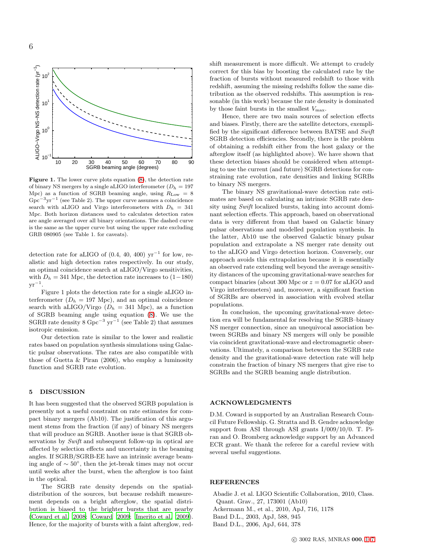

Figure 1. The lower curve plots equation [\(8\)](#page-4-0), the detection rate of binary NS mergers by a single aLIGO interferometer  $(D_h = 197)$ Mpc) as a function of SGRB beaming angle, using  $R_{\text{Low}} = 8$  $Gpc^{-3}yr^{-1}$  (see Table 2). The upper curve assumes a coincidence search with aLIGO and Virgo interferometers with  $D_h = 341$ Mpc. Both horizon distances used to calculates detection rates are angle averaged over all binary orientations. The dashed curve is the same as the upper curve but using the upper rate excluding GRB 080905 (see Table 1. for caveats).

detection rate for aLIGO of  $(0.4, 40, 400)$  yr<sup>-1</sup> for low, realistic and high detection rates respectively. In our study, an optimal coincidence search at aLIGO/Virgo sensitivities, with  $D_h = 341$  Mpc, the detection rate increases to  $(1-180)$  $\mathrm{yr}^{-1}$ .

Figure 1 plots the detection rate for a single aLIGO interferometer  $(D_h = 197 \text{ Mpc})$ , and an optimal coincidence search with aLIGO/Virgo  $(D_h = 341$  Mpc), as a function of SGRB beaming angle using equation [\(8\)](#page-4-0). We use the SGRB rate density  $8 \text{ Gpc}^{-3} \text{ yr}^{-1}$  (see Table 2) that assumes isotropic emission.

Our detection rate is similar to the lower and realistic rates based on population synthesis simulations using Galactic pulsar observations. The rates are also compatible with those of Guetta  $&$  Piran (2006), who employ a luminosity function and SGRB rate evolution.

## 5 DISCUSSION

It has been suggested that the observed SGRB population is presently not a useful constraint on rate estimates for compact binary mergers (Ab10). The justification of this argument stems from the fraction (if any) of binary NS mergers that will produce an SGRB. Another issue is that SGRB observations by Swift and subsequent follow-up in optical are affected by selection effects and uncertainty in the beaming angles. If SGRB/SGRB-EE have an intrinsic average beaming angle of ∼ 50◦ , then the jet-break times may not occur until weeks after the burst, when the afterglow is too faint in the optical.

The SGRB rate density depends on the spatialdistribution of the sources, but because redshift measurement depends on a bright afterglow, the spatial distribution is biased to the brighter bursts that are nearby [\(Coward et al. 2008](#page-6-50); [Coward 2009;](#page-6-51) [Imerito et al. 2009](#page-6-46)). Hence, for the majority of bursts with a faint afterglow, redshift measurement is more difficult. We attempt to crudely correct for this bias by boosting the calculated rate by the fraction of bursts without measured redshift to those with redshift, assuming the missing redshifts follow the same distribution as the observed redshifts. This assumption is reasonable (in this work) because the rate density is dominated by those faint bursts in the smallest  $V_{\text{max}}$ .

Hence, there are two main sources of selection effects and biases. Firstly, there are the satellite detectors, exemplified by the significant difference between BATSE and Swift SGRB detection efficiencies. Secondly, there is the problem of obtaining a redshift either from the host galaxy or the afterglow itself (as highlighted above). We have shown that these detection biases should be considered when attempting to use the current (and future) SGRB detections for constraining rate evolution, rate densities and linking SGRBs to binary NS mergers.

The binary NS gravitational-wave detection rate estimates are based on calculating an intrinsic SGRB rate density using Swift localized bursts, taking into account dominant selection effects. This approach, based on observational data is very different from that based on Galactic binary pulsar observations and modelled population synthesis. In the latter, Ab10 use the observed Galactic binary pulsar population and extrapolate a NS merger rate density out to the aLIGO and Virgo detection horizon. Conversely, our approach avoids this extrapolation because it is essentially an observed rate extending well beyond the average sensitivity distances of the upcoming gravitational-wave searches for compact binaries (about 300 Mpc or  $z = 0.07$  for aLIGO and Virgo interferometers) and, moreover, a significant fraction of SGRBs are observed in association with evolved stellar populations.

In conclusion, the upcoming gravitational-wave detection era will be fundamental for resolving the SGRB–binary NS merger connection, since an unequivocal association between SGRBs and binary NS mergers will only be possible via coincident gravitational-wave and electromagnetic observations. Ultimately, a comparison beteween the SGRB rate density and the gravitational-wave detection rate will help constrain the fraction of binary NS mergers that give rise to SGRBs and the SGRB beaming angle distribution.

## ACKNOWLEDGMENTS

D.M. Coward is supported by an Australian Research Council Future Fellowship. G. Stratta and B. Gendre acknowledge support from ASI through ASI grants I/009/10/0. T. Piran and O. Bromberg acknowledge support by an Advanced ECR grant. We thank the referee for a careful review with several useful suggestions.

### REFERENCES

<span id="page-5-3"></span><span id="page-5-2"></span><span id="page-5-1"></span><span id="page-5-0"></span>Abadie J. et al. LIGO Scientific Collaboration, 2010, Class. Quant. Grav., 27, 173001 (Ab10) Ackermann M., et al., 2010, ApJ, 716, 1178 Band D.L., 2003, ApJ, 588, 945 Band D.L., 2006, ApJ, 644, 378